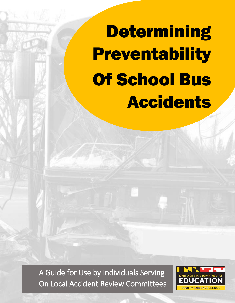**Determining Preventability** Of School Bus Accidents

A Guide for Use by Individuals Serving On Local Accident Review Committees

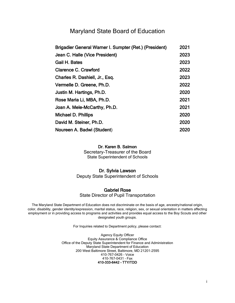### Maryland State Board of Education

| Brigadier General Warner I. Sumpter (Ret.) (President) | 2021 |
|--------------------------------------------------------|------|
| Jean C. Halle (Vice President)                         | 2023 |
| Gail H. Bates                                          | 2023 |
| <b>Clarence C. Crawford</b>                            | 2022 |
| Charles R. Dashiell, Jr., Esq.                         | 2023 |
| Vermelle D. Greene, Ph.D.                              | 2022 |
| Justin M. Hartings, Ph.D.                              | 2020 |
| Rose Maria Li, MBA, Ph.D.                              | 2021 |
| Joan A. Mele-McCarthy, Ph.D.                           | 2021 |
| <b>Michael D. Phillips</b>                             | 2020 |
| David M. Steiner, Ph.D.                                | 2020 |
| Noureen A. Badwi (Student)                             | 2020 |

#### Dr. Karen B. Salmon

Secretary-Treasurer of the Board State Superintendent of Schools

#### Dr. Sylvia Lawson

Deputy State Superintendent of Schools

#### Gabriel Rose

State Director of Pupil Transportation

The Maryland State Department of Education does not discriminate on the basis of age, ancestry/national origin, color, disability, gender identity/expression, marital status, race, religion, sex, or sexual orientation in matters affecting employment or in providing access to programs and activities and provides equal access to the Boy Scouts and other designated youth groups.

For Inquiries related to Department policy, please contact:

Agency Equity Officer Equity Assurance & Compliance Office Office of the Deputy State Superintendent for Finance and Administration Maryland State Department of Education 200 West Baltimore Street, Baltimore, MD 21201-2595 410-767-0426 - Voice 410-767-0431 – Fax 410-333-6442 - TTY/TDD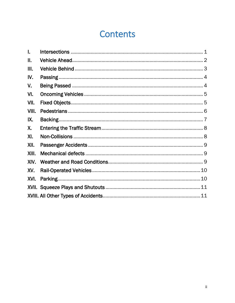# **Contents**

| I.    |    |
|-------|----|
| П.    |    |
| III.  |    |
| IV.   |    |
| V.    |    |
| VI.   |    |
| VII.  |    |
| VIII. |    |
| IX.   |    |
| Χ.    |    |
| XI.   |    |
| XII.  |    |
| XIII. |    |
| XIV.  |    |
| XV.   |    |
| XVI.  |    |
|       |    |
|       | 11 |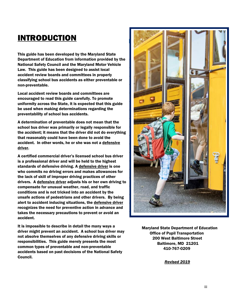# INTRODUCTION

[INTRODUCTION.........................................................................................................4](file:///E:/Information%20by%20Topic/Accident%20Reporting/Accident%20Preventability/Determining%20Preventability%20DRAFT.docx%23_Toc19798044) Department of Education from information provided by the National Safety Council and the Maryland Motor Vehicle<br>In the Maritime is a basic boundaries of the contributional accident review boards and committees in properly **and in the state of the state of the state of the state of th** classifying school bus accidents as either preventable or<br>non-preventable. This guide has been developed by the Maryland State Law. This guide has been designed to assist local non-preventable.

encouraged to read this guide carefully. To promote **the carefully. To promote** be used when making determinations regarding the **the company of the set of the company of the company of the company of the company of the company of the company of the company of the company of the company of the company** uniformity across the State, it is expected that this guide preventability of school bus accidents.

school bus driver was primarily or legally responsible for the accident; it means that the driver did not do everything **the accident; it means that the driver did not do everything** accident. In other words, he or she was not a defensive  $\frac{1}{2}$ A determination of preventable does not mean that the that reasonably could have been done to avoid the driver.

is a professional driver and will be held to the highest standards of defensive driving. A defensive driver is one **the contract of the contract of the contract of the contract of the contract of the contract of the contract of the contract of the contract of the contract of the** the lack of skill of improper driving practices of other **the lack of skill of improper driving practices of other** on pensate for unusual weather, road, and traffic conditions and is not tricked into an accident by the  $\blacksquare$ alert to accident inducing situations, the defensive driver and states of the states of the states of the states recognizes the need for preventive action in advance and<br>takes the necessary precautions to prevent or avoid an A certified commercial driver's licensed school bus driver who commits no driving errors and makes allowances for drivers. A defensive driver adjusts his or her own driving to unsafe actions of pedestrians and other drivers. By being recognizes the need for preventive action in advance and accident.

 driver might prevent an accident. A school bus driver may common types of preventable and non-preventable<br>accidents based on past decisions of the National Safety It is impossible to describe in detail the many ways a not absolve themselves of any defensive driving skills or responsibilities. This guide merely presents the most common types of preventable and non-preventable Council.



Maryland State Department of Education Office of Pupil Transportation 200 West Baltimore Street Baltimore, MD 21201 410-767-0209

 *Revised 2019*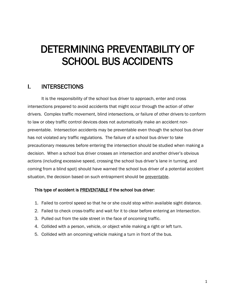# DETERMINING PREVENTABILITY OF SCHOOL BUS ACCIDENTS

# <span id="page-4-0"></span>I. INTERSECTIONS

It is the responsibility of the school bus driver to approach, enter and cross intersections prepared to avoid accidents that might occur through the action of other drivers. Complex traffic movement, blind intersections, or failure of other drivers to conform to law or obey traffic control devices does not automatically make an accident nonpreventable. Intersection accidents may be preventable even though the school bus driver has not violated any traffic regulations. The failure of a school bus driver to take precautionary measures before entering the intersection should be studied when making a decision. When a school bus driver crosses an intersection and another driver's obvious actions (including excessive speed, crossing the school bus driver's lane in turning, and coming from a blind spot) should have warned the school bus driver of a potential accident situation, the decision based on such entrapment should be preventable.

- 1. Failed to control speed so that he or she could stop within available sight distance.
- 2. Failed to check cross-traffic and wait for it to clear before entering an Intersection.
- 3. Pulled out from the side street in the face of oncoming traffic.
- 4. Collided with a person, vehicle, or object while making a right or left turn.
- 5. Collided with an oncoming vehicle making a turn in front of the bus.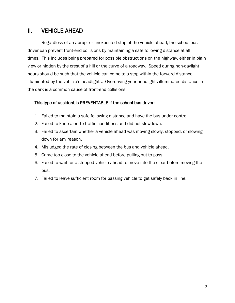# <span id="page-5-0"></span>II. VEHICLE AHEAD

Regardless of an abrupt or unexpected stop of the vehicle ahead, the school bus driver can prevent front-end collisions by maintaining a safe following distance at all times. This includes being prepared for possible obstructions on the highway, either in plain view or hidden by the crest of a hill or the curve of a roadway. Speed during non-daylight hours should be such that the vehicle can come to a stop within the forward distance illuminated by the vehicle's headlights. Overdriving your headlights illuminated distance in the dark is a common cause of front-end collisions.

- 1. Failed to maintain a safe following distance and have the bus under control.
- 2. Failed to keep alert to traffic conditions and did not slowdown.
- 3. Failed to ascertain whether a vehicle ahead was moving slowly, stopped, or slowing down for any reason.
- 4. Misjudged the rate of closing between the bus and vehicle ahead.
- 5. Came too close to the vehicle ahead before pulling out to pass.
- 6. Failed to wait for a stopped vehicle ahead to move into the clear before moving the bus.
- 7. Failed to leave sufficient room for passing vehicle to get safely back in line.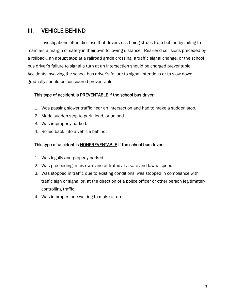# <span id="page-6-0"></span>III. VEHICLE BEHIND

Investigations often disclose that drivers risk being struck from behind by failing to maintain a margin of safety in their own following distance. Rear-end collisions preceded by a rollback, an abrupt stop at a railroad grade crossing, a traffic signal change, or the school bus driver's failure to signal a turn at an intersection should be charged preventable. Accidents involving the school bus driver's failure to signal intentions or to slow down gradually should be considered preventable.

#### This type of accident is **PREVENTABLE** if the school bus driver:

- 1. Was passing slower traffic near an intersection and had to make a sudden stop.
- 2. Made sudden stop to park, load, or unload.
- 3. Was improperly parked.
- 4. Rolled back into a vehicle behind.

- 1. Was legally and properly parked.
- 2. Was proceeding in his own lane of traffic at a safe and lawful speed.
- 3. Was stopped in traffic due to existing conditions, was stopped in compliance with traffic sign or signal or, at the direction of a police officer or other person legitimately controlling traffic.
- 4. Was in proper lane waiting to make a turn.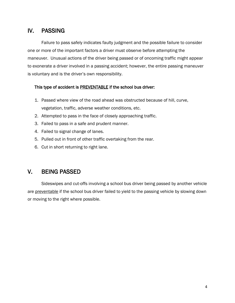# <span id="page-7-0"></span>IV. PASSING

Failure to pass safely indicates faulty judgment and the possible failure to consider one or more of the important factors a driver must observe before attempting the maneuver. Unusual actions of the driver being passed or of oncoming traffic might appear to exonerate a driver involved in a passing accident; however, the entire passing maneuver is voluntary and is the driver's own responsibility.

#### This type of accident is **PREVENTABLE** if the school bus driver:

- 1. Passed where view of the road ahead was obstructed because of hill, curve, vegetation, traffic, adverse weather conditions, etc.
- 2. Attempted to pass in the face of closely approaching traffic.
- 3. Failed to pass in a safe and prudent manner.
- 4. Failed to signal change of lanes.
- 5. Pulled out in front of other traffic overtaking from the rear.
- 6. Cut in short returning to right lane.

# <span id="page-7-1"></span>V. BEING PASSED

Sideswipes and cut-offs involving a school bus driver being passed by another vehicle are preventable if the school bus driver failed to yield to the passing vehicle by slowing down or moving to the right where possible.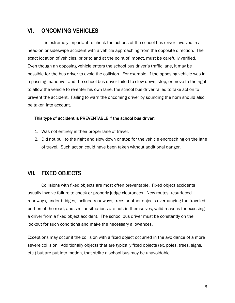# <span id="page-8-0"></span>VI. ONCOMING VEHICLES

It is extremely important to check the actions of the school bus driver involved in a head-on or sideswipe accident with a vehicle approaching from the opposite direction. The exact location of vehicles, prior to and at the point of impact, must be carefully verified. Even though an opposing vehicle enters the school bus driver's traffic lane, it may be possible for the bus driver to avoid the collision. For example, if the opposing vehicle was in a passing maneuver and the school bus driver failed to slow down, stop, or move to the right to allow the vehicle to re-enter his own lane, the school bus driver failed to take action to prevent the accident. Failing to warn the oncoming driver by sounding the horn should also be taken into account.

#### This type of accident is **PREVENTABLE** if the school bus driver:

- 1. Was not entirely in their proper lane of travel.
- 2. Did not pull to the right and slow down or stop for the vehicle encroaching on the lane of travel. Such action could have been taken without additional danger.

### <span id="page-8-1"></span>VII. FIXED OBJECTS

Collisions with fixed objects are most often preventable. Fixed object accidents usually involve failure to check or properly judge clearances. New routes, resurfaced roadways, under bridges, inclined roadways, trees or other objects overhanging the traveled portion of the road, and similar situations are not, in themselves, valid reasons for excusing a driver from a fixed object accident. The school bus driver must be constantly on the lookout for such conditions and make the necessary allowances.

Exceptions may occur if the collision with a fixed object occurred in the avoidance of a more severe collision. Additionally objects that are typically fixed objects (ex. poles, trees, signs, etc.) but are put into motion, that strike a school bus may be unavoidable.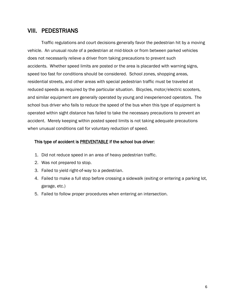#### <span id="page-9-0"></span>VIII. PEDESTRIANS

Traffic regulations and court decisions generally favor the pedestrian hit by a moving vehicle. An unusual route of a pedestrian at mid-block or from between parked vehicles does not necessarily relieve a driver from taking precautions to prevent such accidents. Whether speed limits are posted or the area is placarded with warning signs, speed too fast for conditions should be considered. School zones, shopping areas, residential streets, and other areas with special pedestrian traffic must be traveled at reduced speeds as required by the particular situation. Bicycles, motor/electric scooters, and similar equipment are generally operated by young and inexperienced operators. The school bus driver who fails to reduce the speed of the bus when this type of equipment is operated within sight distance has failed to take the necessary precautions to prevent an accident. Merely keeping within posted speed limits is not taking adequate precautions when unusual conditions call for voluntary reduction of speed.

- 1. Did not reduce speed in an area of heavy pedestrian traffic.
- 2. Was not prepared to stop.
- 3. Failed to yield right-of-way to a pedestrian.
- 4. Failed to make a full stop before crossing a sidewalk (exiting or entering a parking lot, garage, etc.)
- 5. Failed to follow proper procedures when entering an intersection.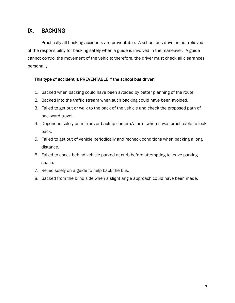# <span id="page-10-0"></span>IX. BACKING

Practically all backing accidents are preventable. A school bus driver is not relieved of the responsibility for backing safely when a guide is involved in the maneuver. A guide cannot control the movement of the vehicle; therefore, the driver must check all clearances personally.

- 1. Backed when backing could have been avoided by better planning of the route.
- 2. Backed into the traffic stream when such backing could have been avoided.
- 3. Failed to get out or walk to the back of the vehicle and check the proposed path of backward travel.
- 4. Depended solely on mirrors or backup camera/alarm, when it was practicable to look back.
- 5. Failed to get out of vehicle periodically and recheck conditions when backing a long distance.
- 6. Failed to check behind vehicle parked at curb before attempting to leave parking space.
- 7. Relied solely on a guide to help back the bus.
- 8. Backed from the blind side when a slight angle approach could have been made.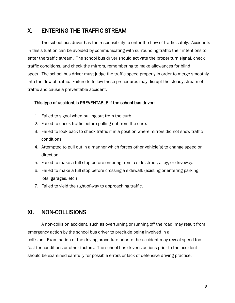# <span id="page-11-0"></span>X. ENTERING THE TRAFFIC STREAM

The school bus driver has the responsibility to enter the flow of traffic safely. Accidents in this situation can be avoided by communicating with surrounding traffic their intentions to enter the traffic stream. The school bus driver should activate the proper turn signal, check traffic conditions, and check the mirrors, remembering to make allowances for blind spots. The school bus driver must judge the traffic speed properly in order to merge smoothly into the flow of traffic. Failure to follow these procedures may disrupt the steady stream of traffic and cause a preventable accident.

#### This type of accident is PREVENTABLE if the school bus driver:

- 1. Failed to signal when pulling out from the curb.
- 2. Failed to check traffic before pulling out from the curb.
- 3. Failed to look back to check traffic if in a position where mirrors did not show traffic conditions.
- 4. Attempted to pull out in a manner which forces other vehicle(s) to change speed or direction.
- 5. Failed to make a full stop before entering from a side street, alley, or driveway.
- 6. Failed to make a full stop before crossing a sidewalk (existing or entering parking lots, garages, etc.)
- 7. Failed to yield the right-of-way to approaching traffic.

# <span id="page-11-1"></span>XI. NON-COLLISIONS

A non-collision accident, such as overturning or running off the road, may result from emergency action by the school bus driver to preclude being involved in a collision. Examination of the driving procedure prior to the accident may reveal speed too fast for conditions or other factors. The school bus driver's actions prior to the accident should be examined carefully for possible errors or lack of defensive driving practice.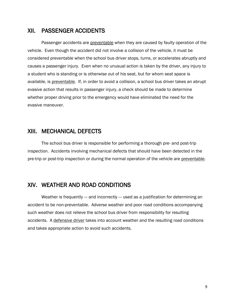#### <span id="page-12-0"></span>XII. PASSENGER ACCIDENTS

Passenger accidents are preventable when they are caused by faulty operation of the vehicle. Even though the accident did not involve a collision of the vehicle, it must be considered preventable when the school bus driver stops, turns, or accelerates abruptly and causes a passenger injury. Even when no unusual action is taken by the driver, any injury to a student who is standing or is otherwise out of his seat, but for whom seat space is available, is preventable. If, in order to avoid a collision, a school bus driver takes an abrupt evasive action that results in passenger injury, a check should be made to determine whether proper driving prior to the emergency would have eliminated the need for the evasive maneuver.

### <span id="page-12-1"></span>XIII. MECHANICAL DEFECTS

The school bus driver is responsible for performing a thorough pre- and post-trip inspection. Accidents involving mechanical defects that should have been detected in the pre-trip or post-trip inspection or during the normal operation of the vehicle are preventable.

# <span id="page-12-2"></span>XIV. WEATHER AND ROAD CONDITIONS

<span id="page-12-3"></span>Weather is frequently --- and incorrectly --- used as a justification for determining an accident to be non-preventable. Adverse weather and poor road conditions accompanying such weather does not relieve the school bus driver from responsibility for resulting accidents. A defensive driver takes into account weather and the resulting road conditions and takes appropriate action to avoid such accidents.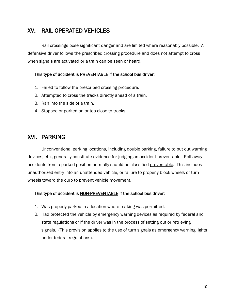# XV. RAIL-OPERATED VEHICLES

Rail crossings pose significant danger and are limited where reasonably possible. A defensive driver follows the prescribed crossing procedure and does not attempt to cross when signals are activated or a train can be seen or heard.

#### This type of accident is **PREVENTABLE** if the school bus driver:

- 1. Failed to follow the prescribed crossing procedure.
- 2. Attempted to cross the tracks directly ahead of a train.
- 3. Ran into the side of a train.
- 4. Stopped or parked on or too close to tracks.

# <span id="page-13-0"></span>XVI. PARKING

Unconventional parking locations, including double parking, failure to put out warning devices, etc., generally constitute evidence for judging an accident preventable. Roll-away accidents from a parked position normally should be classified preventable. This includes unauthorized entry into an unattended vehicle, or failure to properly block wheels or turn wheels toward the curb to prevent vehicle movement.

- 1. Was properly parked in a location where parking was permitted.
- 2. Had protected the vehicle by emergency warning devices as required by federal and state regulations or if the driver was in the process of setting out or retrieving signals. (This provision applies to the use of turn signals as emergency warning lights under federal regulations).